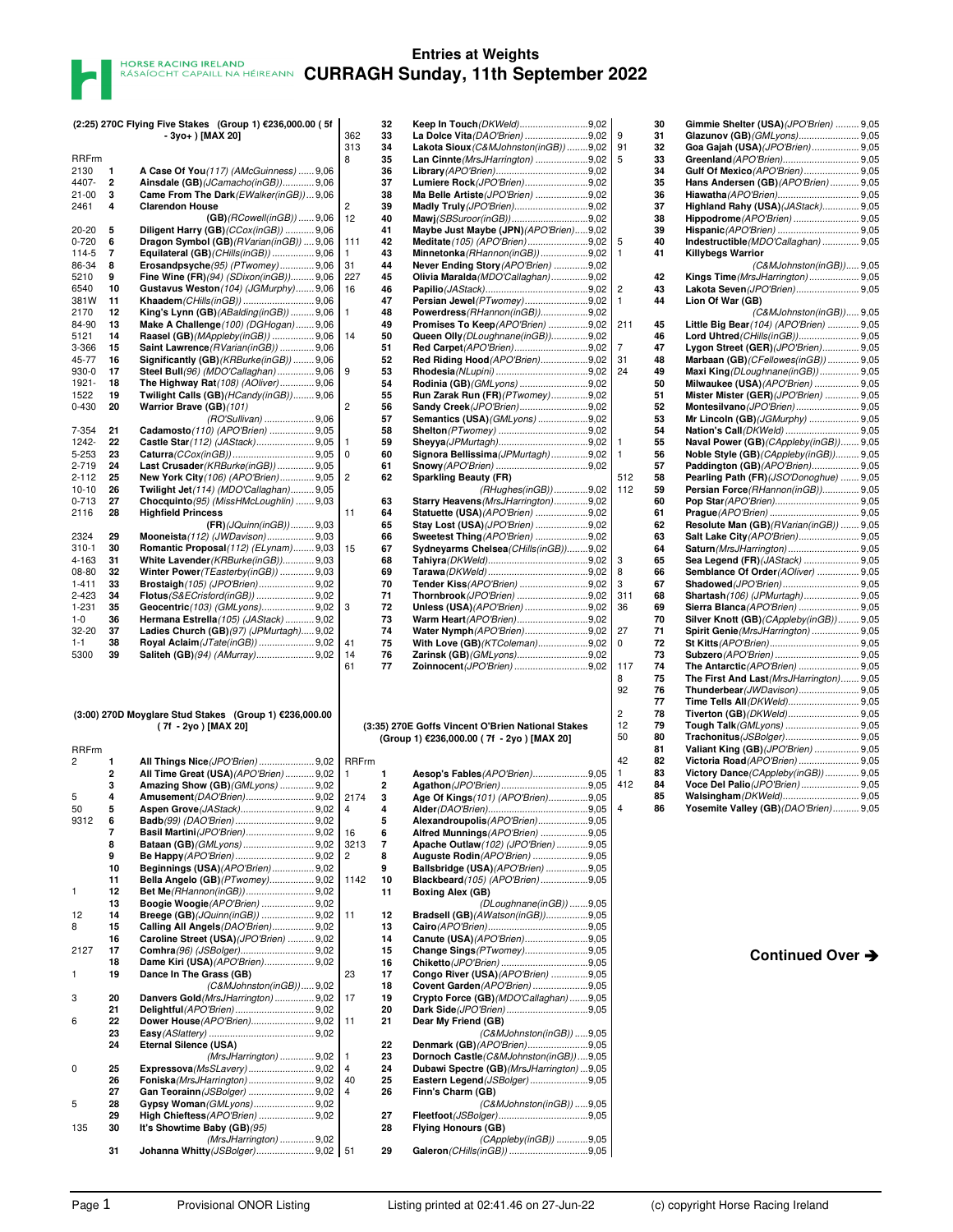|              |          | (2:25) 270C Flying Five Stakes (Group 1) €236,000.00 (5f |                | 32             | Keep In Touch (DKWeld)9,02                                                                     |  |
|--------------|----------|----------------------------------------------------------|----------------|----------------|------------------------------------------------------------------------------------------------|--|
|              |          | - 3yo+ ) [MAX 20]                                        | 362            | 33             | La Dolce Vita (DAO'Brien) 9,02                                                                 |  |
|              |          |                                                          | 313            | 34             | Lakota Sioux (C&MJohnston(inGB)) 9,02                                                          |  |
| <b>RRFrm</b> |          |                                                          | 8              | 35             | Lan Cinnte (MrsJHarrington) 9,02                                                               |  |
| 2130         | 1        | A Case Of You(117) (AMcGuinness)  9,06                   |                | 36             |                                                                                                |  |
| 4407-        | 2        | Ainsdale (GB) (JCamacho (in GB) ) 9,06                   |                | 37             | Lumiere Rock (JPO'Brien)9,02                                                                   |  |
| $21 - 00$    | 3        | Came From The Dark (EWalker(inGB))9,06                   |                | 38             | Ma Belle Artiste (JPO'Brien) 9,02                                                              |  |
| 2461         | 4        | <b>Clarendon House</b>                                   | 2              | 39             | Madly Truly (JPO'Brien)9,02                                                                    |  |
|              |          | $(GB)/(RCowell(inGB))$ 9,06                              | 12             | 40             | Mawj(SBSuroor(inGB))9,02                                                                       |  |
| $20 - 20$    | 5        | Diligent Harry (GB) (CCox(inGB))  9,06                   |                | 41             | Maybe Just Maybe (JPN) (APO'Brien)9,02                                                         |  |
| $0 - 720$    | 6        | Dragon Symbol (GB) (RVarian(inGB))  9,06                 | 111            | 42             | Meditate (105) (APO'Brien)9,02                                                                 |  |
|              | 7        |                                                          |                |                |                                                                                                |  |
| 114-5        |          | Equilateral (GB) (CHills (in GB))  9,06                  | 1              | 43             | Minnetonka (RHannon(inGB))9,02                                                                 |  |
| 86-34        | 8        | $Erosandpsyche(95) (PTwomey)$ 9,06                       | 31             | 44             | Never Ending Story (APO'Brien) 9,02                                                            |  |
| 5210         | 9        | Fine Wine (FR)(94) (SDixon(inGB)) 9,06                   | 227            | 45             | Olivia Maralda (MDO'Callaghan)9,02                                                             |  |
| 6540         | 10       | Gustavus Weston(104) (JGMurphy) 9,06                     | 16             | 46             |                                                                                                |  |
| 381W         | 11       |                                                          |                | 47             | Persian Jewel (PTwomey)9,02                                                                    |  |
| 2170         | 12       | King's Lynn (GB) (ABalding (in GB))  9,06                | 1              | 48             | Powerdress (RHannon (in GB))9,02                                                               |  |
| 84-90        | 13       | Make A Challenge (100) (DGHogan) 9,06                    |                | 49             | Promises To Keep(APO'Brien) 9,02                                                               |  |
| 5121         | 14       | Raasel (GB)(MAppleby(inGB))  9,06                        | 14             | 50             | Queen Olly (DLoughnane(inGB))9,02                                                              |  |
| 3-366        | 15       | Saint Lawrence (RVarian(inGB))  9,06                     |                | 51             | <b>Red Carpet</b> (APO'Brien)9,02                                                              |  |
| 45-77        | 16       | Significantly (GB) (KRBurke(inGB))  9,06                 |                | 52             | Red Riding Hood (APO'Brien)9,02                                                                |  |
| $930-0$      | 17       | Steel Bull(96) (MDO'Callaghan) 9,06                      | 9              | 53             |                                                                                                |  |
| 1921-        | 18       | The Highway Rat(108) (AOliver)  9,06                     |                | 54             | Rodinia (GB) (GMLyons) 9,02                                                                    |  |
| 1522         | 19       | Twilight Calls (GB) (HCandy (in GB)) 9,06                |                | 55             | Run Zarak Run (FR) (PTwomey)9,02                                                               |  |
| 0-430        | 20       | Warrior Brave (GB)(101)                                  | 2              | 56             | Sandy Creek (JPO'Brien)9,02                                                                    |  |
|              |          | (RO'Sullivan)  9,06                                      |                | 57             | <b>Semantics (USA)</b> (GMLyons) 9,02                                                          |  |
| 7-354        | 21       | Cadamosto (110) (APO'Brien)  9,05                        |                | 58             |                                                                                                |  |
| 1242-        | 22       | Castle Star (112) (JAStack) 9,05                         | 1              | 59             |                                                                                                |  |
| 5-253        | 23       |                                                          | 0              | 60             | Signora Bellissima (JPMurtagh)9,02                                                             |  |
| 2-719        | 24       | Last Crusader (KRBurke(inGB))  9,05                      |                | 61             |                                                                                                |  |
| $2 - 112$    | 25       | New York City (106) (APO'Brien) 9,05                     | 2              | 62             | <b>Sparkling Beauty (FR)</b>                                                                   |  |
|              | 26       |                                                          |                |                |                                                                                                |  |
| $10 - 10$    |          | Twilight Jet(114) (MDO'Callaghan) 9,05                   |                |                | (RHughes(inGB))9,02                                                                            |  |
| $0 - 713$    | 27       | Chocquinto (95) (MissHMcLoughlin)  9,03                  |                | 63             | Starry Heavens (MrsJHarrington)9,02                                                            |  |
| 2116         | 28       | <b>Highfield Princess</b>                                | 11             | 64             | Statuette (USA) (APO'Brien) 9,02                                                               |  |
|              |          | $(FR)/JQuinn(inGB))$ 9,03                                |                | 65             | Stay Lost (USA) (JPO'Brien) 9,02                                                               |  |
| 2324         | 29       | Mooneista (112) (JWDavison) 9,03                         |                | 66             | <b>Sweetest Thing (APO'Brien) 9,02</b>                                                         |  |
| $310 - 1$    | 30       | Romantic Proposal (112) (ELynam) 9,03                    | 15             | 67             | Sydneyarms Chelsea (CHills (in GB))9,02                                                        |  |
| 4-163        | 31       | White Lavender (KRBurke(inGB)) 9,03                      |                | 68             |                                                                                                |  |
| 08-80        | 32       | Winter Power (TEasterby (in GB))  9,03                   |                | 69             |                                                                                                |  |
| $1 - 411$    | 33       | Brostaigh (105) (JPO'Brien) 9,02                         |                | 70             | Tender Kiss (APO'Brien) 9,02                                                                   |  |
| 2-423        | 34       | <b>Flotus</b> (S&ECrisford(inGB))  9,02                  |                | 71             | Thornbrook (JPO'Brien) 9,02                                                                    |  |
| 1-231        | 35       |                                                          | 3              | 72             | Unless (USA) (APO'Brien) 9,02                                                                  |  |
| 1-0          | 36       | Hermana Estrella (105) (JAStack)  9,02                   |                | 73             | Warm Heart (APO'Brien)9,02                                                                     |  |
| 32-20        | 37       | Ladies Church (GB)(97) (JPMurtagh) 9,02                  |                | 74             | Water Nymph (APO'Brien)9,02                                                                    |  |
| $1 - 1$      | 38       | Royal Aclaim (JTate(inGB))  9,02                         |                |                |                                                                                                |  |
|              |          |                                                          |                |                |                                                                                                |  |
| 5300         | 39       | Saliteh (GB)(94) (AMurray)9,02                           | 41<br>14<br>61 | 75<br>76<br>77 | With Love (GB) (KTColeman)9,02<br>Zarinsk (GB) (GMLyons)9,02<br>Zoinnocent (JPO'Brien) 9,02    |  |
|              |          | (3:00) 270D Moyglare Stud Stakes (Group 1) €236,000.00   |                |                |                                                                                                |  |
| RRFrm        |          | (7f - 2yo ) [MAX 20]                                     |                |                | (3:35) 270E Goffs Vincent O'Brien National Stakes<br>(Group 1) €236,000.00 (7f - 2yo) [MAX 20] |  |
| 2            | 1        | All Things Nice (JPO'Brien)  9,02                        | <b>RRFrm</b>   |                |                                                                                                |  |
|              | 2        | All Time Great (USA) (APO'Brien)  9,02                   | 1              | 1              | Aesop's Fables (APO'Brien)9,05                                                                 |  |
|              | 3        | Amazing Show (GB) (GMLyons)  9,02                        |                | 2              |                                                                                                |  |
| 5            | 4        |                                                          | 2174           | 3              | Age Of Kings(101) (APO'Brien)9,05                                                              |  |
| 50           | 5        |                                                          | 4              | 4              |                                                                                                |  |
|              |          |                                                          |                |                |                                                                                                |  |
| 9312         | 6<br>7   | Basil Martini(JPO'Brien) 9,02                            | 16             | 5<br>6         | Alexandroupolis (APO'Brien)9,05<br>Alfred Munnings(APO'Brien) 9,05                             |  |
|              | 8        |                                                          |                | 7              |                                                                                                |  |
|              |          |                                                          | 3213           |                | Apache Outlaw (102) (JPO'Brien) 9,05                                                           |  |
|              | 9        |                                                          | 2              | 8              | Auguste Rodin (APO'Brien) 9,05                                                                 |  |
|              | 10<br>11 | Beginnings (USA)(APO'Brien) 9,02                         |                | 9              | Ballsbridge (USA) (APO'Brien) 9,05                                                             |  |
|              |          | Bella Angelo (GB) (PTwomey) 9,02                         | 1142           | 10             | Blackbeard (105) (APO'Brien) 9,05                                                              |  |
| 1            | 12       | Bet Me(RHannon(inGB))9,02                                |                | 11             | Boxing Alex (GB)                                                                               |  |
|              | 13       | Boogie Woogie (APO'Brien)  9.02                          |                |                | (DLoughnane(inGB)) 9.05                                                                        |  |
| 12           | 14       | Breege (GB) (JQuinn(inGB))  9,02                         | 11             | 12             | Bradsell (GB) (AWatson(inGB))9,05                                                              |  |
| 8            | 15       | Calling All Angels (DAO'Brien) 9,02                      |                | 13             |                                                                                                |  |
|              | 16       | Caroline Street (USA)(JPO'Brien)  9,02                   |                | 14             | Canute (USA) (APO'Brien)9,05                                                                   |  |
| 2127         | 17       | Comhra(96) (JSBolger)9,02                                |                | 15             | Change Sings (PTwomey)9,05                                                                     |  |
|              | 18       | Dame Kiri (USA) (APO'Brien) 9,02                         |                | 16             |                                                                                                |  |
| 1            | 19       | Dance In The Grass (GB)                                  | 23             | 17             | Congo River (USA) (APO'Brien) 9,05                                                             |  |
|              |          | (C&MJohnston(inGB))9,02                                  |                | 18             | Covent Garden (APO'Brien) 9,05                                                                 |  |
| 3            | 20       | Danvers Gold (MrsJHarrington)  9,02                      | 17             | 19             | Crypto Force (GB) (MDO'Callaghan) 9,05                                                         |  |
|              | 21       |                                                          |                | 20             | Dark Side(JPO'Brien)9,05                                                                       |  |
| 6            | 22       | Dower House (APO'Brien) 9,02                             | 11             | 21             | Dear My Friend (GB)                                                                            |  |
|              | 23       |                                                          |                |                | (C&MJohnston(inGB)) 9,05                                                                       |  |
|              | 24       | Eternal Silence (USA)                                    |                | 22             | Denmark (GB) (APO'Brien)9,05                                                                   |  |
|              |          | (MrsJHarrington)  9,02                                   | 1              | 23             | Dornoch Castle (C&MJohnston(inGB))9,05                                                         |  |
| 0            | 25       |                                                          | 4              | 24             | Dubawi Spectre (GB)(MrsJHarrington) 9,05                                                       |  |
|              |          |                                                          | 40             | 25             |                                                                                                |  |
|              | 26       | Foniska (MrsJHarrington)  9,02                           | 4              |                | Eastern Legend (JSBolger) 9,05                                                                 |  |
|              | 27       | Gan Teorainn(JSBolger)  9,02                             |                | 26             | Finn's Charm (GB)                                                                              |  |
| 5            | 28       | Gypsy Woman (GMLyons) 9,02                               |                |                | (C&MJohnston(inGB)) 9,05                                                                       |  |
|              | 29       | High Chieftess (APO'Brien)  9,02                         |                | 27             |                                                                                                |  |
| 135          | 30       | It's Showtime Baby (GB)(95)                              |                | 28             | <b>Flying Honours (GB)</b>                                                                     |  |
|              | 31       | (MrsJHarrington)  9,02<br>Johanna Whitty (JSBolger)9,02  | 51             | 29             | (CAppleby(inGB)) 9,05                                                                          |  |

| 313   | 33 | La Dolce Vita (DAO'Brien) 9,02                                                                 | 9              |
|-------|----|------------------------------------------------------------------------------------------------|----------------|
|       | 34 | Lakota Sioux (C&MJohnston(inGB)) 9,02                                                          | 91             |
| 8     | 35 | Lan Cinnte (MrsJHarrington) 9,02                                                               | 5              |
|       | 36 |                                                                                                |                |
|       | 37 | Lumiere Rock (JPO'Brien)9,02                                                                   |                |
|       | 38 | Ma Belle Artiste (JPO'Brien) 9,02                                                              |                |
| 2     | 39 | Madly Truly (JPO'Brien)9,02                                                                    |                |
| 12    | 40 | Mawj(SBSuroor(inGB))9,02                                                                       |                |
|       | 41 | Maybe Just Maybe (JPN) (APO'Brien)9,02                                                         |                |
| 111   | 42 | Meditate (105) (APO'Brien)9,02                                                                 | 5              |
| 1     | 43 | Minnetonka (RHannon(inGB)) 9,02                                                                | 1              |
| 31    | 44 |                                                                                                |                |
|       |    | Never Ending Story (APO'Brien) 9,02                                                            |                |
| 227   | 45 | Olivia Maralda (MDO'Callaghan)9,02                                                             |                |
| 16    | 46 |                                                                                                | 2              |
|       | 47 | Persian Jewel (PTwomey)9,02                                                                    | 1              |
| 1     | 48 | Powerdress (RHannon (in GB))9,02                                                               |                |
|       | 49 | Promises To Keep(APO'Brien) 9,02                                                               | $21^{\circ}$   |
| 14    | 50 | Queen Olly (DLoughnane(inGB))9,02                                                              |                |
|       | 51 | <b>Red Carpet</b> (APO'Brien)9,02                                                              | 7              |
|       | 52 | Red Riding Hood (APO'Brien)9,02                                                                | 31             |
| 9     | 53 |                                                                                                | 24             |
|       | 54 | Rodinia (GB) (GMLyons) 9,02                                                                    |                |
|       | 55 | Run Zarak Run (FR) (PTwomey)9,02                                                               |                |
| 2     | 56 | Sandy Creek (JPO'Brien)9,02                                                                    |                |
|       | 57 | Semantics (USA) (GMLyons) 9,02                                                                 |                |
|       | 58 |                                                                                                |                |
| 1     | 59 |                                                                                                | 1              |
| 0     | 60 | Signora Bellissima (JPMurtagh) 9,02                                                            | 1              |
|       | 61 |                                                                                                |                |
|       |    |                                                                                                |                |
| 2     | 62 | <b>Sparkling Beauty (FR)</b>                                                                   | 51:            |
|       |    | (RHughes(inGB))9,02                                                                            | 11:            |
|       | 63 | Starry Heavens (MrsJHarrington)9,02                                                            |                |
| 11    | 64 | Statuette (USA) (APO'Brien) 9,02                                                               |                |
|       | 65 | Stay Lost (USA) (JPO'Brien) 9,02                                                               |                |
|       | 66 | Sweetest Thing (APO'Brien) 9,02                                                                |                |
| 15    | 67 | Sydneyarms Chelsea (CHills (in GB))9,02                                                        |                |
|       | 68 |                                                                                                | 3              |
|       | 69 |                                                                                                | 8              |
|       | 70 | Tender Kiss(APO'Brien) 9,02                                                                    | 3              |
|       | 71 | Thornbrook (JPO'Brien) 9,02                                                                    | 31             |
| 3     | 72 | Unless (USA)(APO'Brien) 9,02                                                                   | 36             |
|       | 73 | Warm Heart (APO'Brien)9,02                                                                     |                |
|       | 74 | Water Nymph (APO'Brien)9,02                                                                    | 27             |
| 41    | 75 | With Love (GB) (KTColeman)9,02                                                                 | 0              |
| 14    | 76 |                                                                                                |                |
| 61    | 77 | Zarinsk (GB) (GMLyons)9,02<br>Zoinnocent (JPO'Brien) 9,02                                      | 11             |
|       |    |                                                                                                | 8<br>92        |
|       |    | (3:35) 270E Goffs Vincent O'Brien National Stakes<br>(Group 1) €236,000.00 (7f - 2yo) [MAX 20] | 2              |
|       |    |                                                                                                |                |
| RRFrm |    |                                                                                                | 12<br>50<br>42 |
| 1     | 1  | Aesop's Fables(APO'Brien)9,05                                                                  | 1              |
|       | 2  |                                                                                                |                |
| 2174  | 3  | Age Of Kings(101) (APO'Brien)9,05                                                              |                |
| 4     | 4  |                                                                                                | 4              |
|       | 5  | Alexandroupolis (APO'Brien)9,05                                                                |                |
| 16    | 6  | Alfred Munnings (APO'Brien) 9,05                                                               |                |
| 3213  | 7  |                                                                                                |                |
|       | 8  | Apache Outlaw (102) (JPO'Brien) 9,05                                                           |                |
| 2     | 9  | Auguste Rodin (APO'Brien) 9,05                                                                 |                |
|       |    | Ballsbridge (USA) (APO'Brien) 9,05                                                             | 41             |
| 1142  | 10 | Blackbeard (105) (APO'Brien) 9,05                                                              |                |
|       | 11 | <b>Boxing Alex (GB)</b>                                                                        |                |
|       |    | (DLoughnane(inGB))9,05                                                                         |                |
| 11    | 12 | Bradsell (GB) (AWatson (in GB))9,05                                                            |                |
|       | 13 |                                                                                                |                |
|       | 14 | Canute (USA) (APO'Brien)9,05                                                                   |                |
|       | 15 | Change Sings(PTwomey)9,05                                                                      |                |
|       | 16 |                                                                                                |                |
| 23    | 17 | Congo River (USA) (APO'Brien) 9,05                                                             |                |
|       | 18 | Covent Garden (APO'Brien) 9,05                                                                 |                |
| 17    | 19 | Crypto Force (GB) (MDO'Callaghan) 9,05                                                         |                |
|       | 20 |                                                                                                |                |
| 11    | 21 | Dear My Friend (GB)                                                                            |                |
|       |    | (C&MJohnston(inGB)) 9,05                                                                       |                |
|       | 22 | Denmark (GB) (APO'Brien)9,05                                                                   |                |
| 1     | 23 | Dornoch Castle (C&MJohnston(inGB))9,05                                                         |                |
| 4     | 24 | Dubawi Spectre (GB)(MrsJHarrington) 9,05                                                       |                |
| 40    | 25 | Eastern Legend (JSBolger) 9,05                                                                 |                |
| 4     | 26 | Finn's Charm (GB)                                                                              |                |
|       |    |                                                                                                |                |
|       |    | (C&MJohnston(inGB)) 9,05                                                                       |                |
|       | 27 |                                                                                                |                |
|       | 28 | <b>Flying Honours (GB)</b>                                                                     |                |
| 51    | 29 | (CAppleby(inGB)) 9,05                                                                          |                |

|     | 30 | Gimmie Shelter (USA) (JPO'Brien)  9,05    |
|-----|----|-------------------------------------------|
| 9   | 31 | Glazunov (GB) (GMLyons) 9,05              |
| 91  | 32 | Goa Gajah (USA)(JPO'Brien) 9,05           |
| 5   | 33 | Greenland (APO'Brien) 9,05                |
|     | 34 | Gulf Of Mexico(APO'Brien) 9,05            |
|     | 35 |                                           |
|     |    | Hans Andersen (GB) (APO'Brien)  9,05      |
|     | 36 |                                           |
|     | 37 | Highland Rahy (USA)(JAStack) 9,05         |
|     | 38 | Hippodrome (APO'Brien)  9,05              |
|     | 39 |                                           |
| 5   | 40 | Indestructible (MDO'Callaghan)  9,05      |
| 1   | 41 | Killybegs Warrior                         |
|     |    | (C&MJohnston(inGB)) 9,05                  |
|     | 42 | Kings Time (MrsJHarrington) 9,05          |
| 2   | 43 | Lakota Seven (JPO'Brien) 9,05             |
| 1   | 44 | Lion Of War (GB)                          |
|     |    | (C&MJohnston(inGB)) 9,05                  |
| 211 | 45 | Little Big Bear (104) (APO'Brien)  9,05   |
|     | 46 |                                           |
| 7   | 47 | Lygon Street (GER) (JPO'Brien) 9,05       |
| 31  | 48 | Marbaan (GB) (CFellowes (in GB))  9,05    |
| 24  | 49 | Maxi King (DLoughnane (inGB))  9,05       |
|     | 50 | Milwaukee (USA) (APO'Brien)  9,05         |
|     | 51 | Mister Mister (GER) (JPO'Brien)  9,05     |
|     | 52 | Montesilvano (JPO'Brien)  9,05            |
|     | 53 |                                           |
|     | 54 | Mr Lincoln (GB)(JGMurphy)  9,05           |
|     |    |                                           |
| 1   | 55 | Naval Power (GB) (CAppleby (in GB)) 9,05  |
| 1   | 56 | Noble Style (GB) (CAppleby (inGB)) 9,05   |
|     | 57 | Paddington (GB) (APO'Brien) 9,05          |
| 512 | 58 | Pearling Path (FR)(JSO'Donoghue)  9,05    |
| 112 | 59 | Persian Force (RHannon (in GB)) 9,05      |
|     | 60 |                                           |
|     | 61 |                                           |
|     | 62 | Resolute Man (GB) (RVarian (in GB))  9,05 |
|     | 63 | Salt Lake City (APO'Brien) 9,05           |
|     | 64 | Saturn (MrsJHarrington) 9,05              |
| 3   | 65 | Sea Legend (FR) (JAStack)  9,05           |
| 8   | 66 | Semblance Of Order (AOliver)  9,05        |
| 3   | 67 | Shadowed (JPO'Brien)  9,05                |
| 311 | 68 | Shartash(106) (JPMurtagh) 9,05            |
| 36  | 69 | Sierra Blanca <i>(APO'Brien) </i> 9,05    |
|     | 70 | Silver Knott (GB)(CAppleby(inGB)) 9,05    |
| 27  | 71 | Spirit Genie (MrsJHarrington)  9,05       |
| 0   | 72 |                                           |
|     | 73 | Subzero (APO'Brien)  9,05                 |
| 117 | 74 | The Antarctic (APO'Brien)  9,05           |
| 8   | 75 | The First And Last (MrsJHarrington) 9,05  |
| 92  | 76 | Thunderbear (JWDavison) 9,05              |
|     | 77 |                                           |
| 2   | 78 |                                           |
| 12  | 79 | Tough Talk (GMLyons)  9,05                |
| 50  | 80 |                                           |
|     |    | Trachonitus (JSBolger) 9,05               |
|     | 81 | Valiant King (GB)(JPO'Brien)  9,05        |
| 42  | 82 | Victoria Road (APO'Brien)  9,05           |
| 1   | 83 | Victory Dance (CAppleby (in GB))  9,05    |
| 412 | 84 | Voce Del Palio (JPO'Brien)  9,05          |
|     | 85 | Walsingham (DKWeld) 9,05                  |
| 4   | 86 | Yosemite Valley (GB) (DAO'Brien)  9,05    |
|     |    |                                           |

**Continued Over**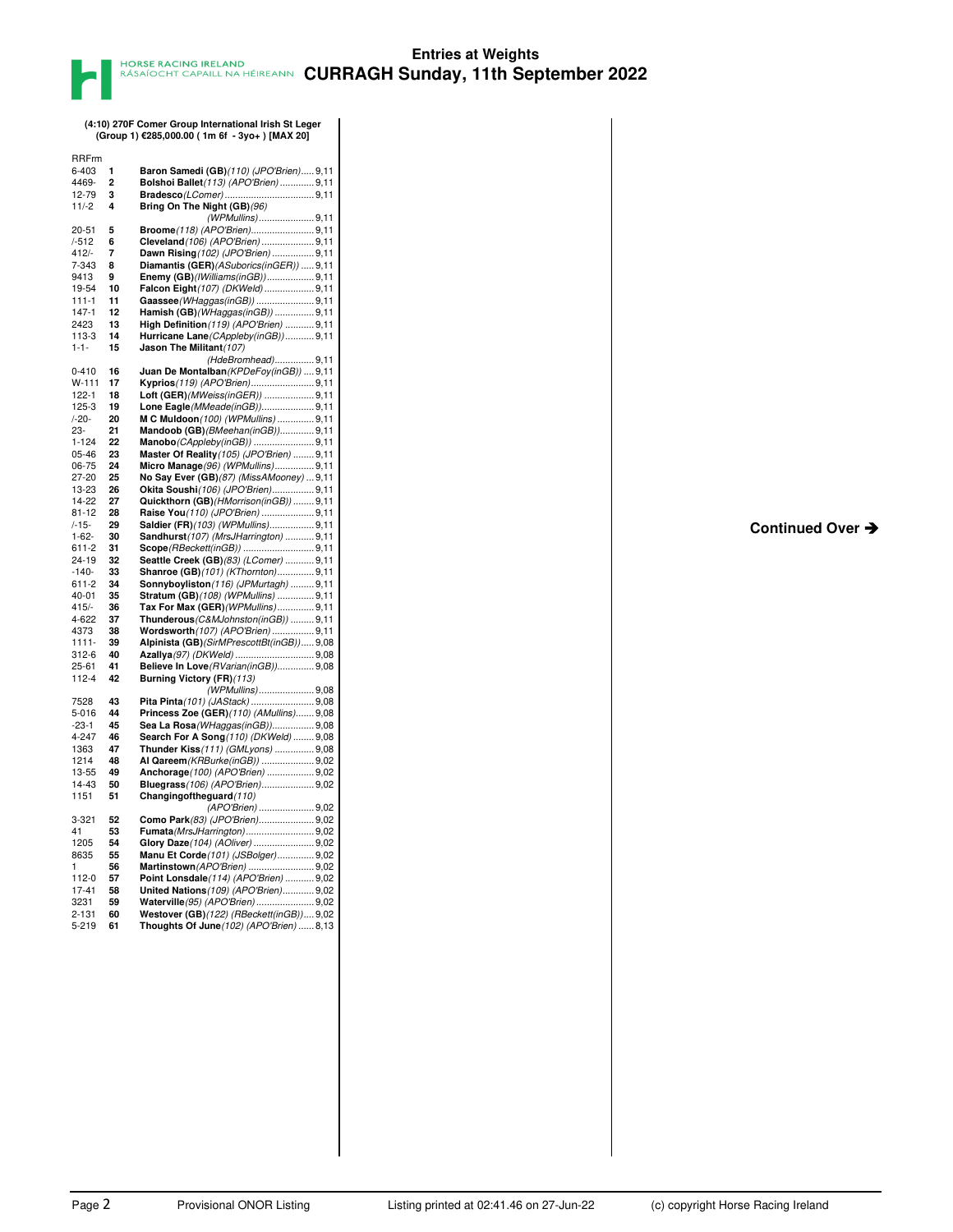**(4:10) 270F Comer Group International Irish St Leger (Group 1) €285,000.00 ( 1m 6f - 3yo+ ) [MAX 20]**

| <b>RRFrm</b>        |                |                                                                             |
|---------------------|----------------|-----------------------------------------------------------------------------|
| 6-403               | 1              | Baron Samedi (GB)(110) (JPO'Brien) 9,11                                     |
| 4469-               | $\overline{2}$ | Bolshoi Ballet(113) (APO'Brien)  9,11                                       |
| 12-79               | 3              |                                                                             |
| $11/-2$             | 4              | Bring On The Night (GB)(96)                                                 |
|                     |                | (WPMullins)9,11                                                             |
| $20 - 51$<br>/-512  | 5<br>6         | Broome(118) (APO'Brien)9,11                                                 |
| $412/-$             | 7              | Cleveland (106) (APO'Brien)9,11<br>Dawn Rising (102) (JPO'Brien)  9,11      |
| 7-343               | 8              | Diamantis (GER)(ASuborics(inGER))  9,11                                     |
| 9413                | 9              | Enemy (GB)(IWilliams(inGB)) 9,11                                            |
| 19-54               | 10             | Falcon Eight (107) (DKWeld) 9,11                                            |
| $111 - 1$           | 11             | Gaassee (WHaggas (in GB))  9,11                                             |
| $147 - 1$           | 12             | Hamish (GB) (WHaggas(inGB))  9,11                                           |
| 2423                | 13             | High Definition (119) (APO'Brien)  9,11                                     |
| 113-3               | 14             | Hurricane Lane (CAppleby (in GB))  9,11                                     |
| $1 - 1 -$           | 15             | Jason The Militant (107)                                                    |
|                     |                | (HdeBromhead)9,11                                                           |
| $0 - 410$           | 16             | Juan De Montalban (KPDeFoy(inGB))  9,11                                     |
| W-111<br>122-1      | 17<br>18       | Kyprios(119) (APO'Brien)9,11<br>Loft (GER) (MWeiss (in GER))  9,11          |
| 125-3               | 19             | Lone Eagle (MMeade (in GB)) 9,11                                            |
| $/ -20-$            | 20             | M C Muldoon(100) (WPMullins)  9,11                                          |
| 23-                 | 21             | Mandoob (GB) (BMeehan(inGB))9,11                                            |
| $1 - 124$           | 22             | Manobo(CAppleby(inGB)) 9,11                                                 |
| 05-46               | 23             | Master Of Reality (105) (JPO'Brien)  9,11                                   |
| 06-75               | 24             | Micro Manage(96) (WPMullins) 9,11                                           |
| 27-20               | 25             | No Say Ever (GB) (87) (MissAMooney)  9,11                                   |
| 13-23               | 26             | Okita Soushi(106) (JPO'Brien) 9,11                                          |
| 14-22               | 27             | Quickthorn (GB) (HMorrison(inGB))  9,11                                     |
| $81 - 12$           | 28             | Raise You(110) (JPO'Brien)  9,11                                            |
| /-15-<br>$1 - 62 -$ | 29<br>30       | Saldier (FR)(103) (WPMullins) 9,11                                          |
| 611-2               | 31             | Sandhurst(107) (MrsJHarrington)  9,11<br>Scope(RBeckett(inGB))  9,11        |
| 24-19               | 32             | Seattle Creek (GB)(83) (LComer)  9,11                                       |
| -140-               | 33             | Shanroe (GB)(101) (KThornton) 9,11                                          |
| 611-2               | 34             | Sonnyboyliston(116) (JPMurtagh)  9,11                                       |
| 40-01               | 35             | Stratum (GB)(108) (WPMullins)  9,11                                         |
| $415/-$             | 36             | Tax For Max (GER) (WPMullins) 9,11                                          |
| 4-622               | 37             | Thunderous (C&MJohnston(inGB))  9,11                                        |
| 4373                | 38             | Wordsworth (107) (APO'Brien)  9,11                                          |
| $1111 -$            | 39             | Alpinista (GB) (SirMPrescottBt (in GB) ) 9,08                               |
| 312-6<br>25-61      | 40<br>41       | Azallya(97) (DKWeld)  9,08                                                  |
| $112 - 4$           | 42             | Believe In Love(RVarian(inGB)) 9,08<br>Burning Victory (FR) (113)           |
|                     |                | (WPMullins)9,08                                                             |
| 7528                | 43             | Pita Pinta (101) (JAStack)  9,08                                            |
| 5-016               | 44             | Princess Zoe (GER) (110) (AMullins) 9,08                                    |
| $-23-1$             | 45             | Sea La Rosa (WHaggas (in GB) ) 9,08                                         |
| 4-247               | 46             | Search For A Song (110) (DKWeld)  9,08                                      |
| 1363                | 47             | Thunder Kiss(111) (GMLyons)  9,08                                           |
| 1214                | 48             | Al Qareem (KRBurke(inGB))  9,02                                             |
| 13-55               | 49             | Anchorage(100) (APO'Brien)  9,02                                            |
| 14-43<br>1151       | 50<br>51       | Bluegrass(106) (APO'Brien) 9,02<br>Changing of the guard (110)              |
|                     |                | (APO'Brien) 9,02                                                            |
| 3-321               | 52             | Como Park (83) (JPO'Brien) 9,02                                             |
| 41                  | 53             | Fumata (MrsJHarrington) 9,02                                                |
| 1205                | 54             | Glory Daze(104) (AOliver)  9,02                                             |
| 8635                | 55             | Manu Et Corde(101) (JSBolger) 9,02                                          |
| 1                   | 56             | Martinstown (APO'Brien)  9,02                                               |
| 112-0               | 57             | Point Lonsdale(114) (APO'Brien)  9,02                                       |
| 17-41               | 58             | United Nations (109) (APO'Brien) 9,02                                       |
| 3231<br>2-131       | 59<br>60       | Waterville(95) (APO'Brien) 9,02<br>Westover (GB)(122) (RBeckett(inGB)) 9,02 |
| 5-219               | 61             | Thoughts Of June(102) (APO'Brien)  8,13                                     |
|                     |                |                                                                             |

**Continued Over**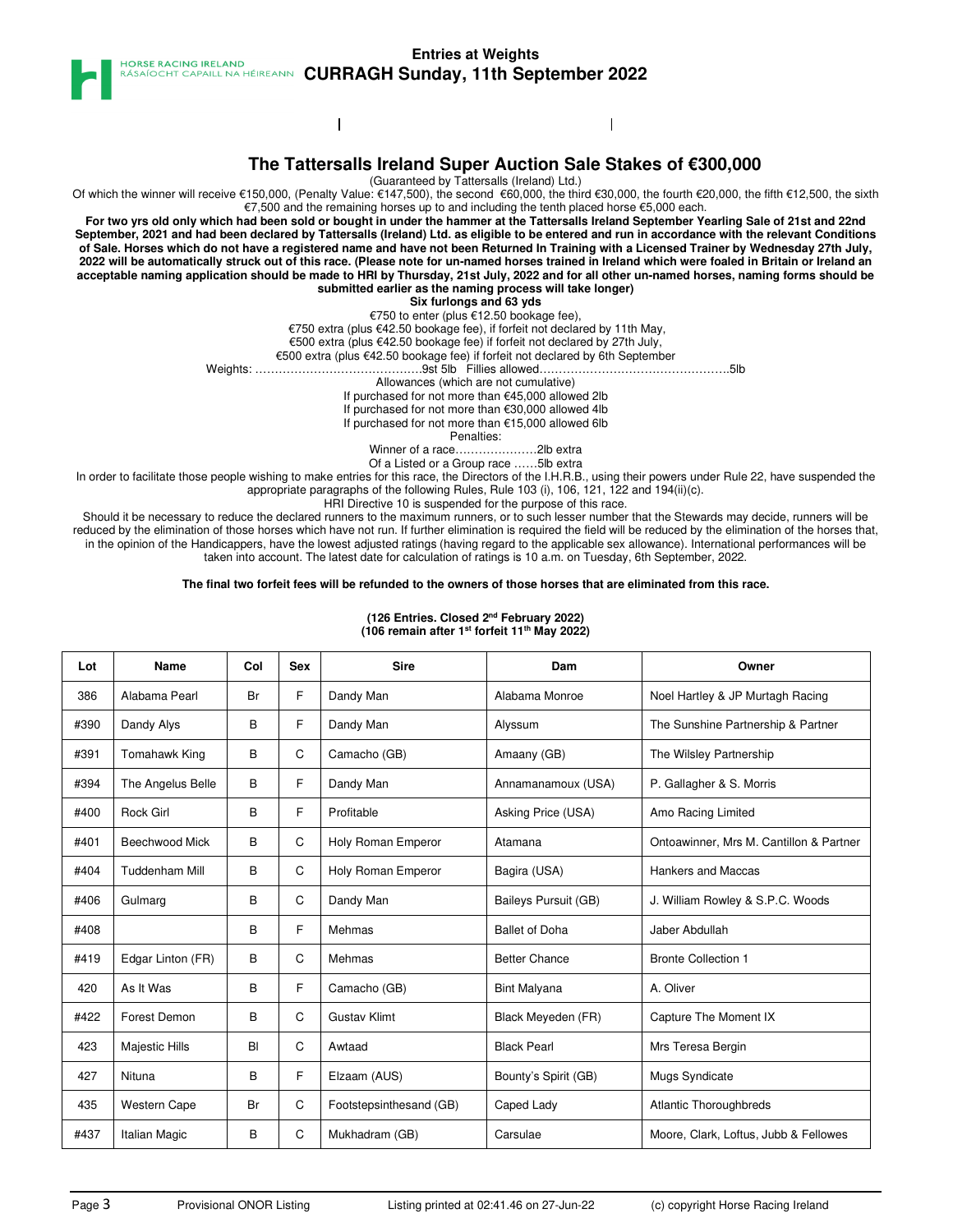

 $\mathbf{I}$ 

### **Entries at Weights ASAÍOCHT CAPAILL NA HÉIREANN CURRAGH Sunday, 11th September 2022**



 $\mathbf{I}$ 

(Guaranteed by Tattersalls (Ireland) Ltd.)

Of which the winner will receive €150,000, (Penalty Value: €147,500), the second €60,000, the third €30,000, the fourth €20,000, the fifth €12,500, the sixth €7,500 and the remaining horses up to and including the tenth placed horse €5,000 each.

**For two yrs old only which had been sold or bought in under the hammer at the Tattersalls Ireland September Yearling Sale of 21st and 22nd September, 2021 and had been declared by Tattersalls (Ireland) Ltd. as eligible to be entered and run in accordance with the relevant Conditions of Sale. Horses which do not have a registered name and have not been Returned In Training with a Licensed Trainer by Wednesday 27th July, 2022 will be automatically struck out of this race. (Please note for un-named horses trained in Ireland which were foaled in Britain or Ireland an acceptable naming application should be made to HRI by Thursday, 21st July, 2022 and for all other un-named horses, naming forms should be submitted earlier as the naming process will take longer)**

**Six furlongs and 63 yds**

€750 to enter (plus €12.50 bookage fee), €750 extra (plus €42.50 bookage fee), if forfeit not declared by 11th May,

€500 extra (plus €42.50 bookage fee) if forfeit not declared by 27th July,

€500 extra (plus €42.50 bookage fee) if forfeit not declared by 6th September

Weights: …………………………………….9st 5lb Fillies allowed………………………………………….5lb

Allowances (which are not cumulative)

If purchased for not more than €45,000 allowed 2lb

If purchased for not more than €30,000 allowed 4lb

If purchased for not more than €15,000 allowed 6lb

Penalties:

Winner of a race…………………2lb extra

Of a Listed or a Group race ……5lb extra

In order to facilitate those people wishing to make entries for this race, the Directors of the I.H.R.B., using their powers under Rule 22, have suspended the appropriate paragraphs of the following Rules, Rule 103 (i), 106, 121, 122 and 194(ii)(c).

HRI Directive 10 is suspended for the purpose of this race.

Should it be necessary to reduce the declared runners to the maximum runners, or to such lesser number that the Stewards may decide, runners will be reduced by the elimination of those horses which have not run. If further elimination is required the field will be reduced by the elimination of the horses that, in the opinion of the Handicappers, have the lowest adjusted ratings (having regard to the applicable sex allowance). International performances will be taken into account. The latest date for calculation of ratings is 10 a.m. on Tuesday, 6th September, 2022.

#### **The final two forfeit fees will be refunded to the owners of those horses that are eliminated from this race.**

| Lot  | Name                  | Col | <b>Sex</b>  | <b>Sire</b>             | Dam                   | Owner                                   |  |
|------|-----------------------|-----|-------------|-------------------------|-----------------------|-----------------------------------------|--|
| 386  | Alabama Pearl         | Br  | F           | Dandy Man               | Alabama Monroe        | Noel Hartley & JP Murtagh Racing        |  |
| #390 | Dandy Alys            | B   | F           | Dandy Man               | Alyssum               | The Sunshine Partnership & Partner      |  |
| #391 | Tomahawk King         | B   | C           | Camacho (GB)            | Amaany (GB)           | The Wilsley Partnership                 |  |
| #394 | The Angelus Belle     | B   | F           | Dandy Man               | Annamanamoux (USA)    | P. Gallagher & S. Morris                |  |
| #400 | <b>Rock Girl</b>      | B   | F           | Profitable              | Asking Price (USA)    | Amo Racing Limited                      |  |
| #401 | Beechwood Mick        | B   | C           | Holy Roman Emperor      | Atamana               | Ontoawinner, Mrs M. Cantillon & Partner |  |
| #404 | <b>Tuddenham Mill</b> | B   | C           | Holy Roman Emperor      | Bagira (USA)          | Hankers and Maccas                      |  |
| #406 | Gulmarg               | B   | C           | Dandy Man               | Baileys Pursuit (GB)  | J. William Rowley & S.P.C. Woods        |  |
| #408 |                       | B   | F           | Mehmas                  | <b>Ballet of Doha</b> | Jaber Abdullah                          |  |
| #419 | Edgar Linton (FR)     | B   | C           | Mehmas                  | <b>Better Chance</b>  | <b>Bronte Collection 1</b>              |  |
| 420  | As It Was             | B   | F           | Camacho (GB)            | <b>Bint Malyana</b>   | A. Oliver                               |  |
| #422 | Forest Demon          | B   | C           | <b>Gustav Klimt</b>     | Black Meyeden (FR)    | Capture The Moment IX                   |  |
| 423  | <b>Majestic Hills</b> | BI  | C           | Awtaad                  | <b>Black Pearl</b>    | Mrs Teresa Bergin                       |  |
| 427  | Nituna                | B   | F           | Elzaam (AUS)            | Bounty's Spirit (GB)  | Mugs Syndicate                          |  |
| 435  | <b>Western Cape</b>   | Br  | $\mathsf C$ | Footstepsinthesand (GB) | Caped Lady            | Atlantic Thoroughbreds                  |  |
| #437 | Italian Magic         | B   | С           | Mukhadram (GB)          | Carsulae              | Moore, Clark, Loftus, Jubb & Fellowes   |  |

**(126 Entries. Closed 2nd February 2022) (106 remain after 1st forfeit 11th May 2022)**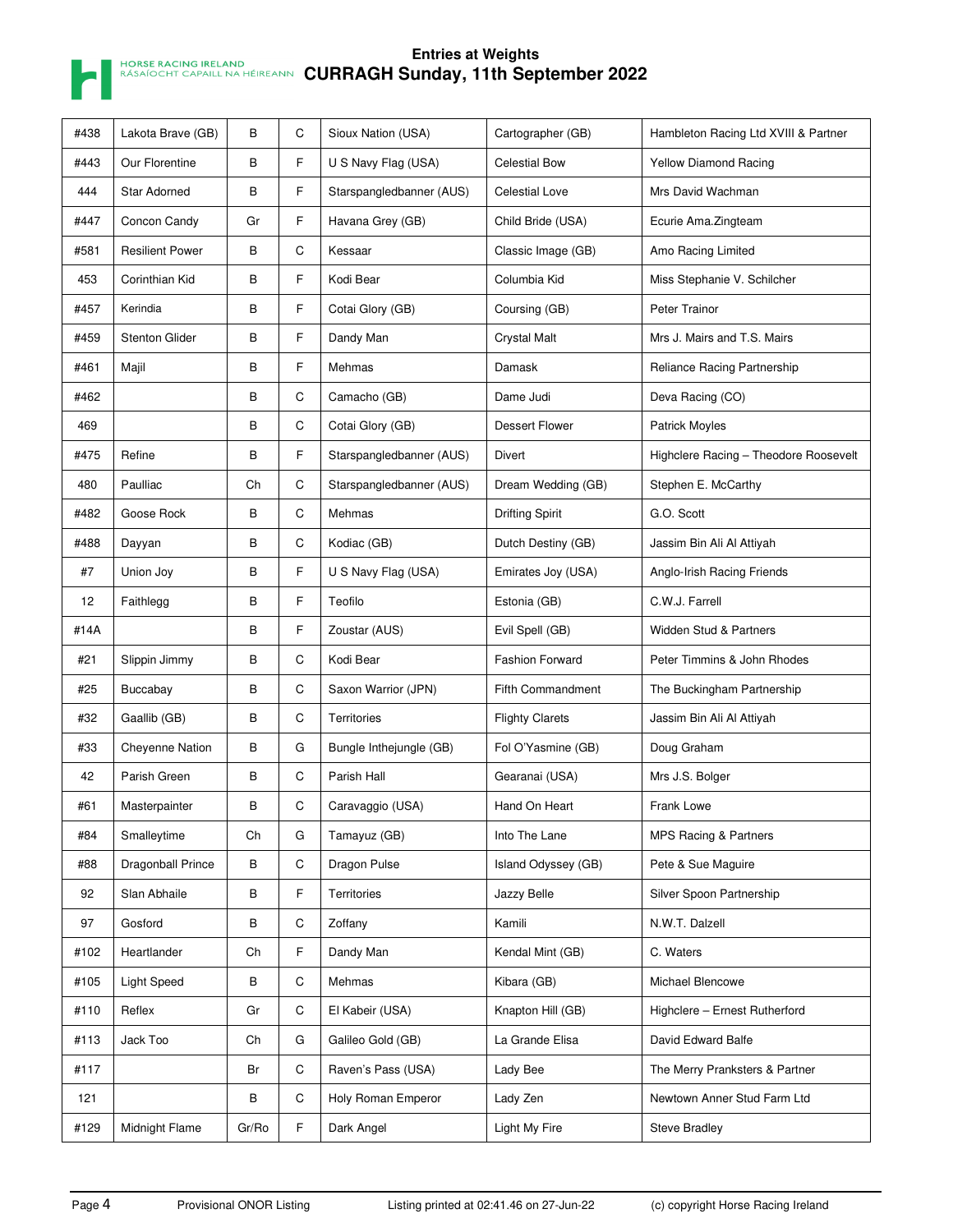

| #438 | Lakota Brave (GB)      | В     | C           | Sioux Nation (USA)       | Cartographer (GB)      | Hambleton Racing Ltd XVIII & Partner  |
|------|------------------------|-------|-------------|--------------------------|------------------------|---------------------------------------|
| #443 | Our Florentine         | В     | F           | U S Navy Flag (USA)      | <b>Celestial Bow</b>   | <b>Yellow Diamond Racing</b>          |
| 444  | <b>Star Adorned</b>    | В     | F           | Starspangledbanner (AUS) | <b>Celestial Love</b>  | Mrs David Wachman                     |
| #447 | Concon Candy           | Gr    | F           | Havana Grey (GB)         | Child Bride (USA)      | Ecurie Ama.Zingteam                   |
| #581 | <b>Resilient Power</b> | В     | С           | Kessaar                  | Classic Image (GB)     | Amo Racing Limited                    |
| 453  | Corinthian Kid         | В     | F           | Kodi Bear                | Columbia Kid           | Miss Stephanie V. Schilcher           |
| #457 | Kerindia               | В     | F           | Cotai Glory (GB)         | Coursing (GB)          | Peter Trainor                         |
| #459 | <b>Stenton Glider</b>  | В     | F           | Dandy Man                | <b>Crystal Malt</b>    | Mrs J. Mairs and T.S. Mairs           |
| #461 | Majil                  | B     | F           | Mehmas                   | Damask                 | Reliance Racing Partnership           |
| #462 |                        | В     | C           | Camacho (GB)             | Dame Judi              | Deva Racing (CO)                      |
| 469  |                        | В     | С           | Cotai Glory (GB)         | <b>Dessert Flower</b>  | <b>Patrick Moyles</b>                 |
| #475 | Refine                 | В     | F           | Starspangledbanner (AUS) | Divert                 | Highclere Racing - Theodore Roosevelt |
| 480  | Paulliac               | Ch    | С           | Starspangledbanner (AUS) | Dream Wedding (GB)     | Stephen E. McCarthy                   |
| #482 | Goose Rock             | В     | $\mathsf C$ | Mehmas                   | <b>Drifting Spirit</b> | G.O. Scott                            |
| #488 | Dayyan                 | В     | С           | Kodiac (GB)              | Dutch Destiny (GB)     | Jassim Bin Ali Al Attiyah             |
| #7   | Union Joy              | В     | F           | U S Navy Flag (USA)      | Emirates Joy (USA)     | Anglo-Irish Racing Friends            |
| 12   | Faithlegg              | В     | F           | Teofilo                  | Estonia (GB)           | C.W.J. Farrell                        |
| #14A |                        | В     | F           | Zoustar (AUS)            | Evil Spell (GB)        | Widden Stud & Partners                |
| #21  | Slippin Jimmy          | В     | C           | Kodi Bear                | <b>Fashion Forward</b> | Peter Timmins & John Rhodes           |
| #25  | Buccabay               | В     | $\mathsf C$ | Saxon Warrior (JPN)      | Fifth Commandment      | The Buckingham Partnership            |
| #32  | Gaallib (GB)           | В     | С           | <b>Territories</b>       | <b>Flighty Clarets</b> | Jassim Bin Ali Al Attiyah             |
| #33  | Cheyenne Nation        | В     | G           | Bungle Inthejungle (GB)  | Fol O'Yasmine (GB)     | Doug Graham                           |
| 42   | Parish Green           | В     | С           | Parish Hall              | Gearanai (USA)         | Mrs J.S. Bolger                       |
| #61  | Masterpainter          | В     | С           | Caravaggio (USA)         | Hand On Heart          | Frank Lowe                            |
| #84  | Smalleytime            | Ch    | G           | Tamayuz (GB)             | Into The Lane          | MPS Racing & Partners                 |
| #88  | Dragonball Prince      | В     | С           | Dragon Pulse             | Island Odyssey (GB)    | Pete & Sue Maguire                    |
| 92   | Slan Abhaile           | В     | F           | Territories              | Jazzy Belle            | Silver Spoon Partnership              |
| 97   | Gosford                | В     | $\mathsf C$ | Zoffany                  | Kamili                 | N.W.T. Dalzell                        |
| #102 | Heartlander            | Ch    | F           | Dandy Man                | Kendal Mint (GB)       | C. Waters                             |
| #105 | <b>Light Speed</b>     | В     | С           | Mehmas                   | Kibara (GB)            | Michael Blencowe                      |
| #110 | Reflex                 | Gr    | C           | El Kabeir (USA)          | Knapton Hill (GB)      | Highclere - Ernest Rutherford         |
| #113 | Jack Too               | Ch    | G           | Galileo Gold (GB)        | La Grande Elisa        | David Edward Balfe                    |
| #117 |                        | Br    | С           | Raven's Pass (USA)       | Lady Bee               | The Merry Pranksters & Partner        |
| 121  |                        | В     | C           | Holy Roman Emperor       | Lady Zen               | Newtown Anner Stud Farm Ltd           |
| #129 | Midnight Flame         | Gr/Ro | F           | Dark Angel               | <b>Light My Fire</b>   | <b>Steve Bradley</b>                  |
|      |                        |       |             |                          |                        |                                       |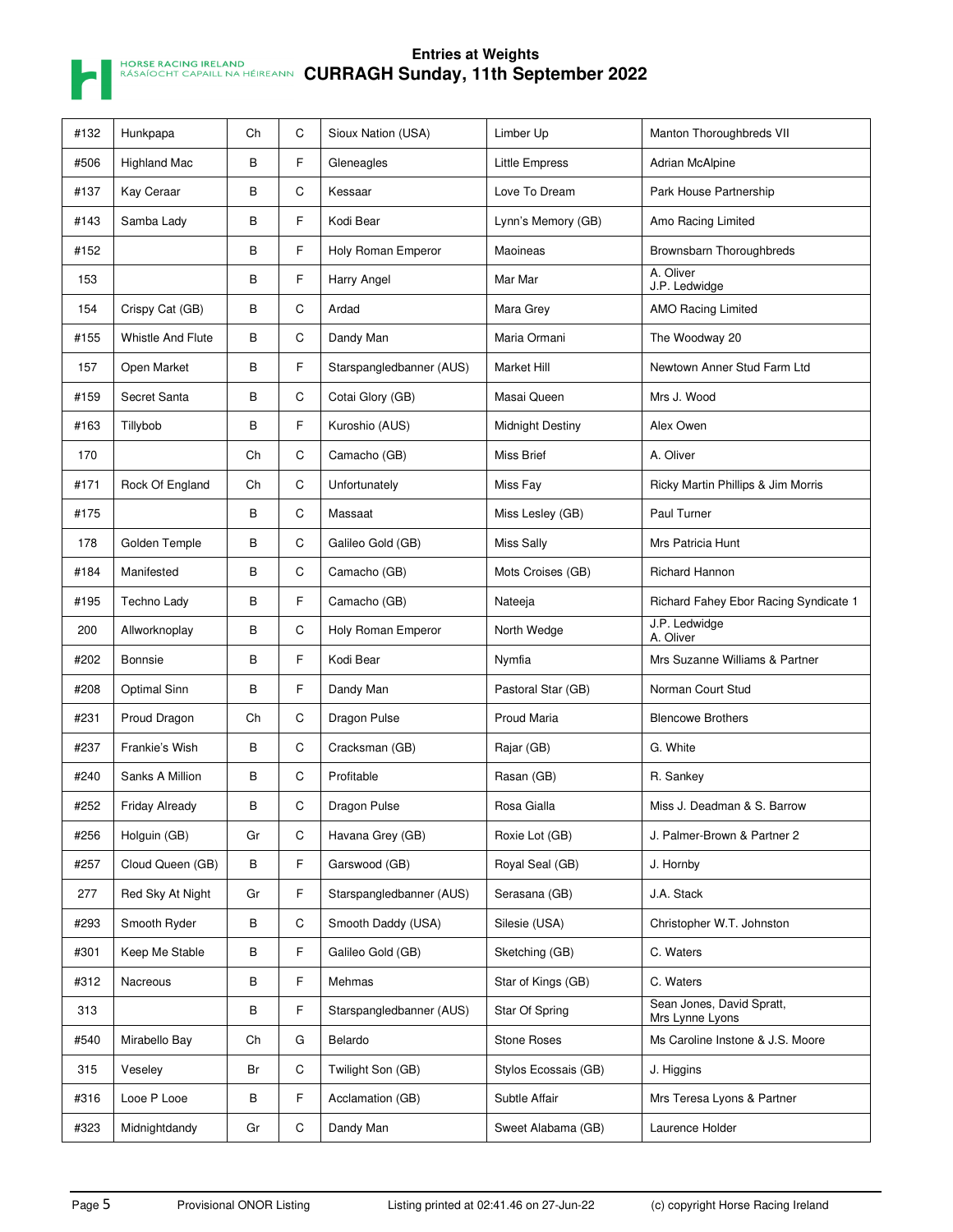

| #132 | Hunkpapa                 | Ch | C | Sioux Nation (USA)       | Limber Up               | Manton Thoroughbreds VII                     |
|------|--------------------------|----|---|--------------------------|-------------------------|----------------------------------------------|
| #506 | <b>Highland Mac</b>      | B  | F | Gleneagles               | <b>Little Empress</b>   | <b>Adrian McAlpine</b>                       |
| #137 | Kay Ceraar               | В  | C | Kessaar                  | Love To Dream           | Park House Partnership                       |
| #143 | Samba Lady               | B  | F | Kodi Bear                | Lynn's Memory (GB)      | Amo Racing Limited                           |
| #152 |                          | B  | F | Holy Roman Emperor       | Maoineas                | Brownsbarn Thoroughbreds                     |
| 153  |                          | В  | F | Harry Angel              | Mar Mar                 | A. Oliver<br>J.P. Ledwidge                   |
| 154  | Crispy Cat (GB)          | В  | С | Ardad                    | Mara Grey               | <b>AMO Racing Limited</b>                    |
| #155 | <b>Whistle And Flute</b> | B  | C | Dandy Man                | Maria Ormani            | The Woodway 20                               |
| 157  | Open Market              | B  | F | Starspangledbanner (AUS) | <b>Market Hill</b>      | Newtown Anner Stud Farm Ltd                  |
| #159 | Secret Santa             | В  | C | Cotai Glory (GB)         | Masai Queen             | Mrs J. Wood                                  |
| #163 | Tillybob                 | В  | F | Kuroshio (AUS)           | <b>Midnight Destiny</b> | Alex Owen                                    |
| 170  |                          | Ch | С | Camacho (GB)             | <b>Miss Brief</b>       | A. Oliver                                    |
| #171 | Rock Of England          | Ch | С | Unfortunately            | Miss Fay                | Ricky Martin Phillips & Jim Morris           |
| #175 |                          | В  | С | Massaat                  | Miss Lesley (GB)        | Paul Turner                                  |
| 178  | Golden Temple            | В  | C | Galileo Gold (GB)        | <b>Miss Sally</b>       | Mrs Patricia Hunt                            |
| #184 | Manifested               | В  | C | Camacho (GB)             | Mots Croises (GB)       | Richard Hannon                               |
| #195 | Techno Lady              | B  | F | Camacho (GB)             | Nateeja                 | Richard Fahey Ebor Racing Syndicate 1        |
| 200  | Allworknoplay            | В  | С | Holy Roman Emperor       | North Wedge             | J.P. Ledwidge<br>A. Oliver                   |
| #202 | Bonnsie                  | B  | F | Kodi Bear                | Nymfia                  | Mrs Suzanne Williams & Partner               |
| #208 | Optimal Sinn             | B  | F | Dandy Man                | Pastoral Star (GB)      | Norman Court Stud                            |
| #231 | Proud Dragon             | Ch | С | Dragon Pulse             | Proud Maria             | <b>Blencowe Brothers</b>                     |
| #237 | Frankie's Wish           | В  | C | Cracksman (GB)           | Rajar (GB)              | G. White                                     |
| #240 | Sanks A Million          | В  | С | Profitable               | Rasan (GB)              | R. Sankey                                    |
| #252 | <b>Friday Already</b>    | В  | C | Dragon Pulse             | Rosa Gialla             | Miss J. Deadman & S. Barrow                  |
| #256 | Holguin (GB)             | Gr | С | Havana Grey (GB)         | Roxie Lot (GB)          | J. Palmer-Brown & Partner 2                  |
| #257 | Cloud Queen (GB)         | В  | F | Garswood (GB)            | Royal Seal (GB)         | J. Hornby                                    |
| 277  | Red Sky At Night         | Gr | F | Starspangledbanner (AUS) | Serasana (GB)           | J.A. Stack                                   |
| #293 | Smooth Ryder             | В  | С | Smooth Daddy (USA)       | Silesie (USA)           | Christopher W.T. Johnston                    |
| #301 | Keep Me Stable           | В  | F | Galileo Gold (GB)        | Sketching (GB)          | C. Waters                                    |
| #312 | Nacreous                 | В  | F | Mehmas                   | Star of Kings (GB)      | C. Waters                                    |
| 313  |                          | В  | F | Starspangledbanner (AUS) | Star Of Spring          | Sean Jones, David Spratt,<br>Mrs Lynne Lyons |
| #540 | Mirabello Bay            | Ch | G | Belardo                  | Stone Roses             | Ms Caroline Instone & J.S. Moore             |
| 315  | Veseley                  | Br | C | Twilight Son (GB)        | Stylos Ecossais (GB)    | J. Higgins                                   |
| #316 | Looe P Looe              | В  | F | Acclamation (GB)         | Subtle Affair           | Mrs Teresa Lyons & Partner                   |
| #323 | Midnightdandy            | Gr | C | Dandy Man                | Sweet Alabama (GB)      | Laurence Holder                              |